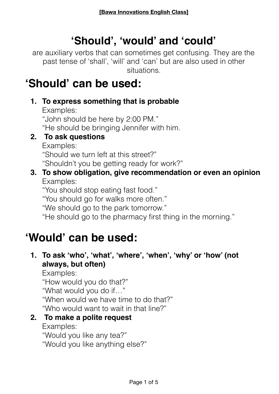# **'Should', 'would' and 'could'**

are auxiliary verbs that can sometimes get confusing. They are the past tense of 'shall', 'will' and 'can' but are also used in other situations.

# **'Should' can be used:**

**1. To express something that is probable**

Examples:

"John should be here by 2:00 PM." "He should be bringing Jennifer with him.

**2. To ask questions**

Examples:

"Should we turn left at this street?"

"Shouldn't you be getting ready for work?"

### **3. To show obligation, give recommendation or even an opinion** Examples:

"You should stop eating fast food." "You should go for walks more often."

"We should go to the park tomorrow."

"He should go to the pharmacy first thing in the morning."

# **'Would' can be used:**

## **1. To ask 'who', 'what', 'where', 'when', 'why' or 'how' (not always, but often)**

Examples:

"How would you do that?"

"What would you do if…"

"When would we have time to do that?"

"Who would want to wait in that line?"

## **2. To make a polite request**

Examples:

"Would you like any tea?"

"Would you like anything else?"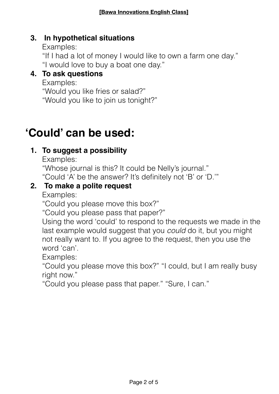#### **3. In hypothetical situations**

Examples: "If I had a lot of money I would like to own a farm one day." "I would love to buy a boat one day."

#### **4. To ask questions**

Examples:

"Would you like fries or salad?"

"Would you like to join us tonight?"

# **'Could' can be used:**

### **1. To suggest a possibility**

Examples:

"Whose journal is this? It could be Nelly's journal." "Could 'A' be the answer? It's definitely not 'B' or 'D.'"

### **2. To make a polite request**

Examples:

"Could you please move this box?"

"Could you please pass that paper?"

Using the word 'could' to respond to the requests we made in the last example would suggest that you *could* do it, but you might not really want to. If you agree to the request, then you use the word 'can'.

Examples:

"Could you please move this box?" "I could, but I am really busy right now."

"Could you please pass that paper." "Sure, I can."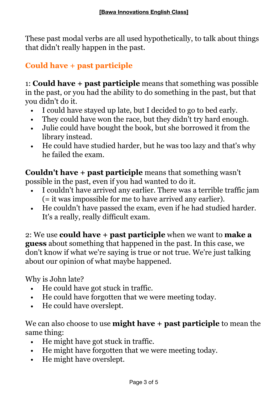These past modal verbs are all used hypothetically, to talk about things that didn't really happen in the past.

# **Could have + past participle**

1: **Could have + past participle** means that something was possible in the past, or you had the ability to do something in the past, but that you didn't do it.

- I could have stayed up late, but I decided to go to bed early.
- They could have won the race, but they didn't try hard enough.
- Julie could have bought the book, but she borrowed it from the library instead.
- He could have studied harder, but he was too lazy and that's why he failed the exam.

**Couldn't have + past participle** means that something wasn't possible in the past, even if you had wanted to do it.

- I couldn't have arrived any earlier. There was a terrible traffic jam (= it was impossible for me to have arrived any earlier).
- He couldn't have passed the exam, even if he had studied harder. It's a really, really difficult exam.

2: We use **could have + past participle** when we want to **make a guess** about something that happened in the past. In this case, we don't know if what we're saying is true or not true. We're just talking about our opinion of what maybe happened.

Why is John late?

- He could have got stuck in traffic.
- He could have forgotten that we were meeting today.
- He could have overslept.

We can also choose to use **might have + past participle** to mean the same thing:

- He might have got stuck in traffic.
- He might have forgotten that we were meeting today.
- He might have overslept.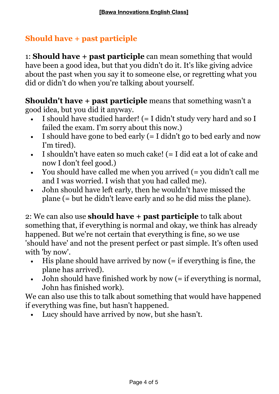## **Should have + past participle**

1: **Should have + past participle** can mean something that would have been a good idea, but that you didn't do it. It's like giving advice about the past when you say it to someone else, or regretting what you did or didn't do when you're talking about yourself.

**Shouldn't have + past participle** means that something wasn't a good idea, but you did it anyway.

- I should have studied harder! (= I didn't study very hard and so I failed the exam. I'm sorry about this now.)
- I should have gone to bed early  $(= I \text{ didn't go to bed early and now})$ I'm tired).
- I shouldn't have eaten so much cake! (= I did eat a lot of cake and now I don't feel good.)
- You should have called me when you arrived (= you didn't call me and I was worried. I wish that you had called me).
- John should have left early, then he wouldn't have missed the plane (= but he didn't leave early and so he did miss the plane).

2: We can also use **should have + past participle** to talk about something that, if everything is normal and okay, we think has already happened. But we're not certain that everything is fine, so we use 'should have' and not the present perfect or past simple. It's often used with 'by now'.

- His plane should have arrived by now (= if everything is fine, the plane has arrived).
- John should have finished work by now (= if everything is normal, John has finished work).

We can also use this to talk about something that would have happened if everything was fine, but hasn't happened.

Lucy should have arrived by now, but she hasn't.